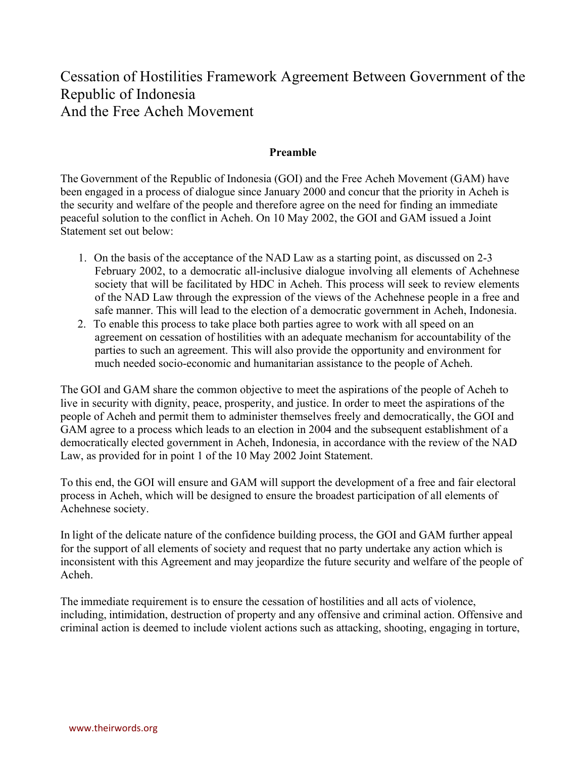# Cessation of Hostilities Framework Agreement Between Government of the Republic of Indonesia And the Free Acheh Movement

### **Preamble**

The Government of the Republic of Indonesia (GOI) and the Free Acheh Movement (GAM) have been engaged in a process of dialogue since January 2000 and concur that the priority in Acheh is the security and welfare of the people and therefore agree on the need for finding an immediate peaceful solution to the conflict in Acheh. On 10 May 2002, the GOI and GAM issued a Joint Statement set out below:

- 1. On the basis of the acceptance of the NAD Law as a starting point, as discussed on 2-3 February 2002, to a democratic all-inclusive dialogue involving all elements of Achehnese society that will be facilitated by HDC in Acheh. This process will seek to review elements of the NAD Law through the expression of the views of the Achehnese people in a free and safe manner. This will lead to the election of a democratic government in Acheh, Indonesia.
- 2. To enable this process to take place both parties agree to work with all speed on an agreement on cessation of hostilities with an adequate mechanism for accountability of the parties to such an agreement. This will also provide the opportunity and environment for much needed socio-economic and humanitarian assistance to the people of Acheh.

The GOI and GAM share the common objective to meet the aspirations of the people of Acheh to live in security with dignity, peace, prosperity, and justice. In order to meet the aspirations of the people of Acheh and permit them to administer themselves freely and democratically, the GOI and GAM agree to a process which leads to an election in 2004 and the subsequent establishment of a democratically elected government in Acheh, Indonesia, in accordance with the review of the NAD Law, as provided for in point 1 of the 10 May 2002 Joint Statement.

To this end, the GOI will ensure and GAM will support the development of a free and fair electoral process in Acheh, which will be designed to ensure the broadest participation of all elements of Achehnese society.

In light of the delicate nature of the confidence building process, the GOI and GAM further appeal for the support of all elements of society and request that no party undertake any action which is inconsistent with this Agreement and may jeopardize the future security and welfare of the people of Acheh.

The immediate requirement is to ensure the cessation of hostilities and all acts of violence, including, intimidation, destruction of property and any offensive and criminal action. Offensive and criminal action is deemed to include violent actions such as attacking, shooting, engaging in torture,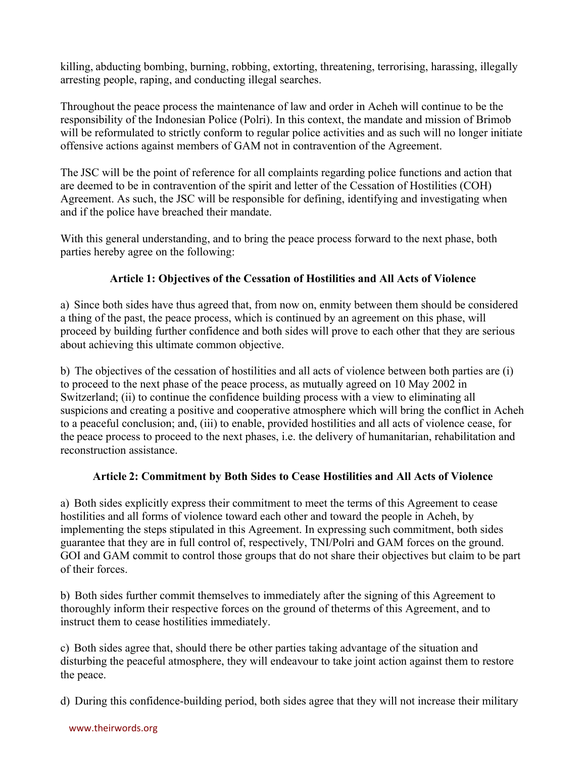killing, abducting bombing, burning, robbing, extorting, threatening, terrorising, harassing, illegally arresting people, raping, and conducting illegal searches.

Throughout the peace process the maintenance of law and order in Acheh will continue to be the responsibility of the Indonesian Police (Polri). In this context, the mandate and mission of Brimob will be reformulated to strictly conform to regular police activities and as such will no longer initiate offensive actions against members of GAM not in contravention of the Agreement.

The JSC will be the point of reference for all complaints regarding police functions and action that are deemed to be in contravention of the spirit and letter of the Cessation of Hostilities (COH) Agreement. As such, the JSC will be responsible for defining, identifying and investigating when and if the police have breached their mandate.

With this general understanding, and to bring the peace process forward to the next phase, both parties hereby agree on the following:

# **Article 1: Objectives of the Cessation of Hostilities and All Acts of Violence**

a) Since both sides have thus agreed that, from now on, enmity between them should be considered a thing of the past, the peace process, which is continued by an agreement on this phase, will proceed by building further confidence and both sides will prove to each other that they are serious about achieving this ultimate common objective.

b) The objectives of the cessation of hostilities and all acts of violence between both parties are (i) to proceed to the next phase of the peace process, as mutually agreed on 10 May 2002 in Switzerland; (ii) to continue the confidence building process with a view to eliminating all suspicions and creating a positive and cooperative atmosphere which will bring the conflict in Acheh to a peaceful conclusion; and, (iii) to enable, provided hostilities and all acts of violence cease, for the peace process to proceed to the next phases, i.e. the delivery of humanitarian, rehabilitation and reconstruction assistance.

## **Article 2: Commitment by Both Sides to Cease Hostilities and All Acts of Violence**

a) Both sides explicitly express their commitment to meet the terms of this Agreement to cease hostilities and all forms of violence toward each other and toward the people in Acheh, by implementing the steps stipulated in this Agreement. In expressing such commitment, both sides guarantee that they are in full control of, respectively, TNI/Polri and GAM forces on the ground. GOI and GAM commit to control those groups that do not share their objectives but claim to be part of their forces.

b) Both sides further commit themselves to immediately after the signing of this Agreement to thoroughly inform their respective forces on the ground of theterms of this Agreement, and to instruct them to cease hostilities immediately.

c) Both sides agree that, should there be other parties taking advantage of the situation and disturbing the peaceful atmosphere, they will endeavour to take joint action against them to restore the peace.

d) During this confidence-building period, both sides agree that they will not increase their military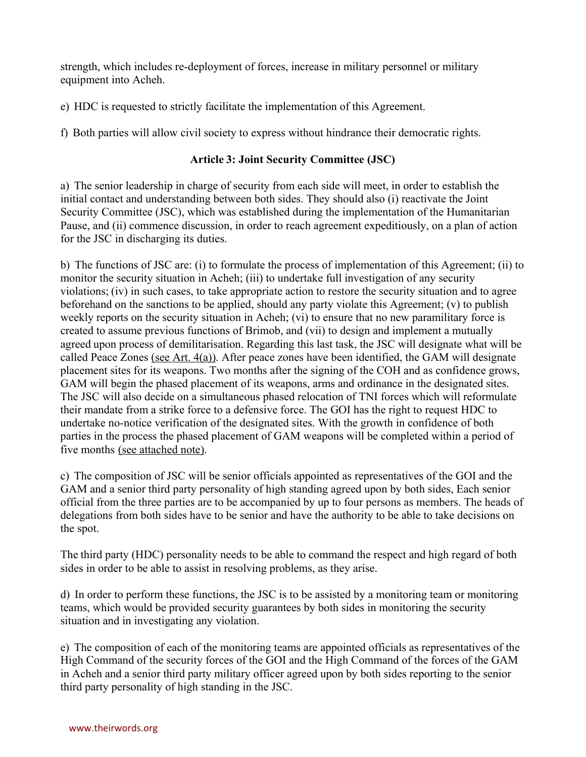strength, which includes re-deployment of forces, increase in military personnel or military equipment into Acheh.

e) HDC is requested to strictly facilitate the implementation of this Agreement.

f) Both parties will allow civil society to express without hindrance their democratic rights.

# **Article 3: Joint Security Committee (JSC)**

a) The senior leadership in charge of security from each side will meet, in order to establish the initial contact and understanding between both sides. They should also (i) reactivate the Joint Security Committee (JSC), which was established during the implementation of the Humanitarian Pause, and (ii) commence discussion, in order to reach agreement expeditiously, on a plan of action for the JSC in discharging its duties.

b) The functions of JSC are: (i) to formulate the process of implementation of this Agreement; (ii) to monitor the security situation in Acheh; (iii) to undertake full investigation of any security violations; (iv) in such cases, to take appropriate action to restore the security situation and to agree beforehand on the sanctions to be applied, should any party violate this Agreement; (v) to publish weekly reports on the security situation in Acheh; (vi) to ensure that no new paramilitary force is created to assume previous functions of Brimob, and (vii) to design and implement a mutually agreed upon process of demilitarisation. Regarding this last task, the JSC will designate what will be called Peace Zones (see Art. 4(a)). After peace zones have been identified, the GAM will designate placement sites for its weapons. Two months after the signing of the COH and as confidence grows, GAM will begin the phased placement of its weapons, arms and ordinance in the designated sites. The JSC will also decide on a simultaneous phased relocation of TNI forces which will reformulate their mandate from a strike force to a defensive force. The GOI has the right to request HDC to undertake no-notice verification of the designated sites. With the growth in confidence of both parties in the process the phased placement of GAM weapons will be completed within a period of five months (see attached note).

c) The composition of JSC will be senior officials appointed as representatives of the GOI and the GAM and a senior third party personality of high standing agreed upon by both sides, Each senior official from the three parties are to be accompanied by up to four persons as members. The heads of delegations from both sides have to be senior and have the authority to be able to take decisions on the spot.

The third party (HDC) personality needs to be able to command the respect and high regard of both sides in order to be able to assist in resolving problems, as they arise.

d) In order to perform these functions, the JSC is to be assisted by a monitoring team or monitoring teams, which would be provided security guarantees by both sides in monitoring the security situation and in investigating any violation.

e) The composition of each of the monitoring teams are appointed officials as representatives of the High Command of the security forces of the GOI and the High Command of the forces of the GAM in Acheh and a senior third party military officer agreed upon by both sides reporting to the senior third party personality of high standing in the JSC.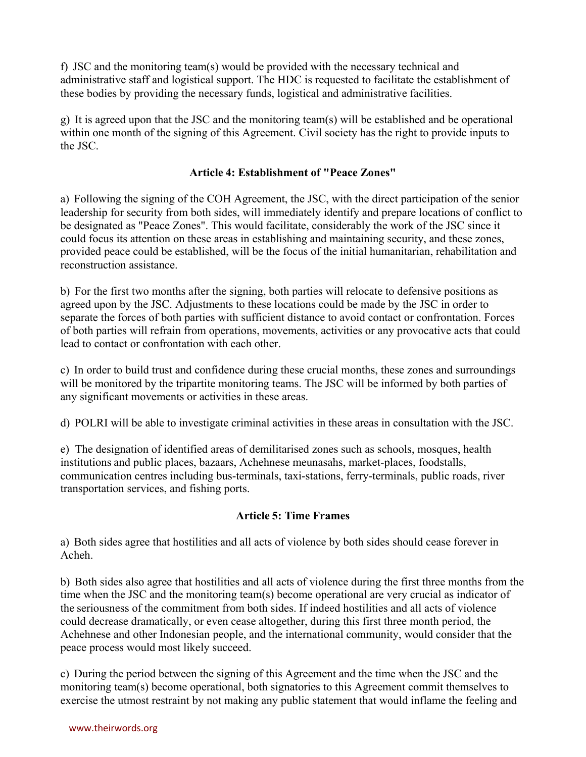f) JSC and the monitoring team(s) would be provided with the necessary technical and administrative staff and logistical support. The HDC is requested to facilitate the establishment of these bodies by providing the necessary funds, logistical and administrative facilities.

g) It is agreed upon that the JSC and the monitoring team(s) will be established and be operational within one month of the signing of this Agreement. Civil society has the right to provide inputs to the JSC.

## **Article 4: Establishment of "Peace Zones"**

a) Following the signing of the COH Agreement, the JSC, with the direct participation of the senior leadership for security from both sides, will immediately identify and prepare locations of conflict to be designated as "Peace Zones". This would facilitate, considerably the work of the JSC since it could focus its attention on these areas in establishing and maintaining security, and these zones, provided peace could be established, will be the focus of the initial humanitarian, rehabilitation and reconstruction assistance.

b) For the first two months after the signing, both parties will relocate to defensive positions as agreed upon by the JSC. Adjustments to these locations could be made by the JSC in order to separate the forces of both parties with sufficient distance to avoid contact or confrontation. Forces of both parties will refrain from operations, movements, activities or any provocative acts that could lead to contact or confrontation with each other.

c) In order to build trust and confidence during these crucial months, these zones and surroundings will be monitored by the tripartite monitoring teams. The JSC will be informed by both parties of any significant movements or activities in these areas.

d) POLRI will be able to investigate criminal activities in these areas in consultation with the JSC.

e) The designation of identified areas of demilitarised zones such as schools, mosques, health institutions and public places, bazaars, Achehnese meunasahs, market-places, foodstalls, communication centres including bus-terminals, taxi-stations, ferry-terminals, public roads, river transportation services, and fishing ports.

# **Article 5: Time Frames**

a) Both sides agree that hostilities and all acts of violence by both sides should cease forever in Acheh.

b) Both sides also agree that hostilities and all acts of violence during the first three months from the time when the JSC and the monitoring team(s) become operational are very crucial as indicator of the seriousness of the commitment from both sides. If indeed hostilities and all acts of violence could decrease dramatically, or even cease altogether, during this first three month period, the Achehnese and other Indonesian people, and the international community, would consider that the peace process would most likely succeed.

c) During the period between the signing of this Agreement and the time when the JSC and the monitoring team(s) become operational, both signatories to this Agreement commit themselves to exercise the utmost restraint by not making any public statement that would inflame the feeling and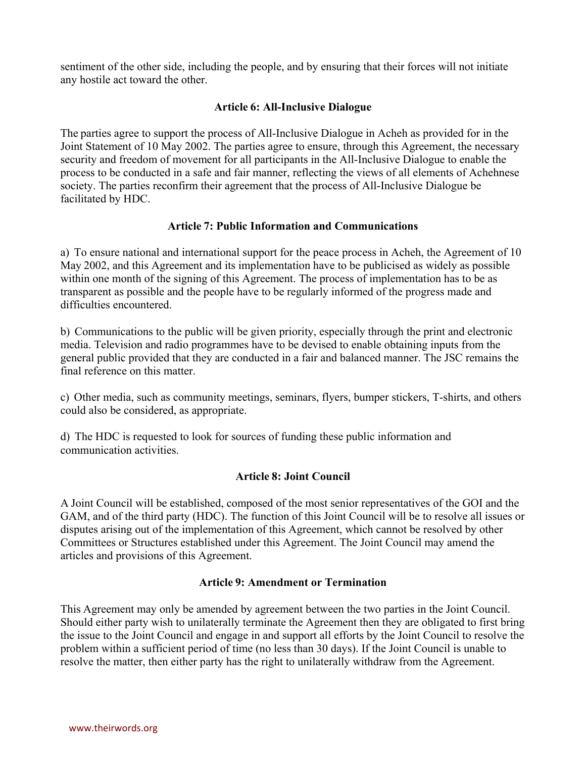sentiment of the other side, including the people, and by ensuring that their forces will not initiate any hostile act toward the other.

### **Article 6: All-Inclusive Dialogue**

The parties agree to support the process of All-Inclusive Dialogue in Acheh as provided for in the Joint Statement of 10 May 2002. The parties agree to ensure, through this Agreement, the necessary security and freedom of movement for all participants in the All-Inclusive Dialogue to enable the process to be conducted in a safe and fair manner, reflecting the views of all elements of Achehnese society. The parties reconfirm their agreement that the process of All-Inclusive Dialogue be facilitated by HDC.

### **Article 7: Public Information and Communications**

a) To ensure national and international support for the peace process in Acheh, the Agreement of 10 May 2002, and this Agreement and its implementation have to be publicised as widely as possible within one month of the signing of this Agreement. The process of implementation has to be as transparent as possible and the people have to be regularly informed of the progress made and difficulties encountered.

b) Communications to the public will be given priority, especially through the print and electronic media. Television and radio programmes have to be devised to enable obtaining inputs from the general public provided that they are conducted in a fair and balanced manner. The JSC remains the final reference on this matter.

c) Other media, such as community meetings, seminars, flyers, bumper stickers, T-shirts, and others could also be considered, as appropriate.

d) The HDC is requested to look for sources of funding these public information and communication activities.

## **Article 8: Joint Council**

A Joint Council will be established, composed of the most senior representatives of the GOI and the GAM, and of the third party (HDC). The function of this Joint Council will be to resolve all issues or disputes arising out of the implementation of this Agreement, which cannot be resolved by other Committees or Structures established under this Agreement. The Joint Council may amend the articles and provisions of this Agreement.

#### **Article 9: Amendment or Termination**

This Agreement may only be amended by agreement between the two parties in the Joint Council. Should either party wish to unilaterally terminate the Agreement then they are obligated to first bring the issue to the Joint Council and engage in and support all efforts by the Joint Council to resolve the problem within a sufficient period of time (no less than 30 days). If the Joint Council is unable to resolve the matter, then either party has the right to unilaterally withdraw from the Agreement.